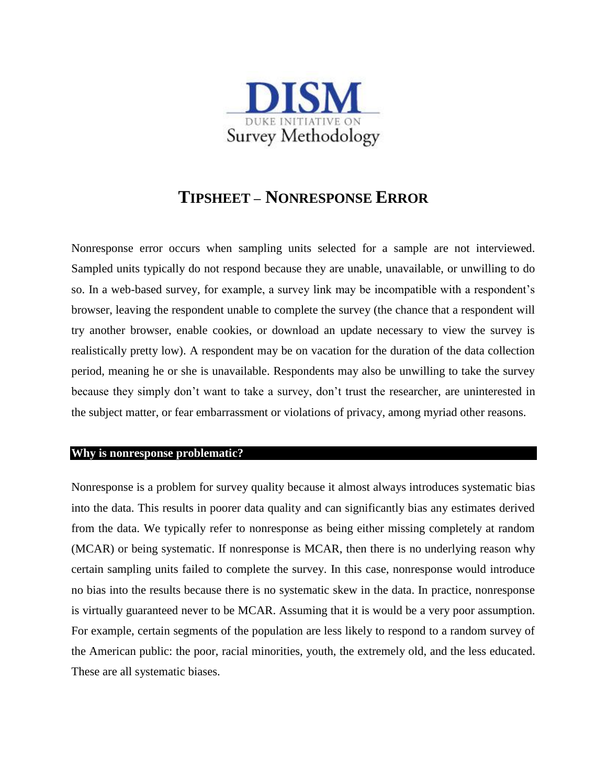

## **TIPSHEET – NONRESPONSE ERROR**

Nonresponse error occurs when sampling units selected for a sample are not interviewed. Sampled units typically do not respond because they are unable, unavailable, or unwilling to do so. In a web-based survey, for example, a survey link may be incompatible with a respondent's browser, leaving the respondent unable to complete the survey (the chance that a respondent will try another browser, enable cookies, or download an update necessary to view the survey is realistically pretty low). A respondent may be on vacation for the duration of the data collection period, meaning he or she is unavailable. Respondents may also be unwilling to take the survey because they simply don't want to take a survey, don't trust the researcher, are uninterested in the subject matter, or fear embarrassment or violations of privacy, among myriad other reasons.

## **Why is nonresponse problematic?**

Nonresponse is a problem for survey quality because it almost always introduces systematic bias into the data. This results in poorer data quality and can significantly bias any estimates derived from the data. We typically refer to nonresponse as being either missing completely at random (MCAR) or being systematic. If nonresponse is MCAR, then there is no underlying reason why certain sampling units failed to complete the survey. In this case, nonresponse would introduce no bias into the results because there is no systematic skew in the data. In practice, nonresponse is virtually guaranteed never to be MCAR. Assuming that it is would be a very poor assumption. For example, certain segments of the population are less likely to respond to a random survey of the American public: the poor, racial minorities, youth, the extremely old, and the less educated. These are all systematic biases.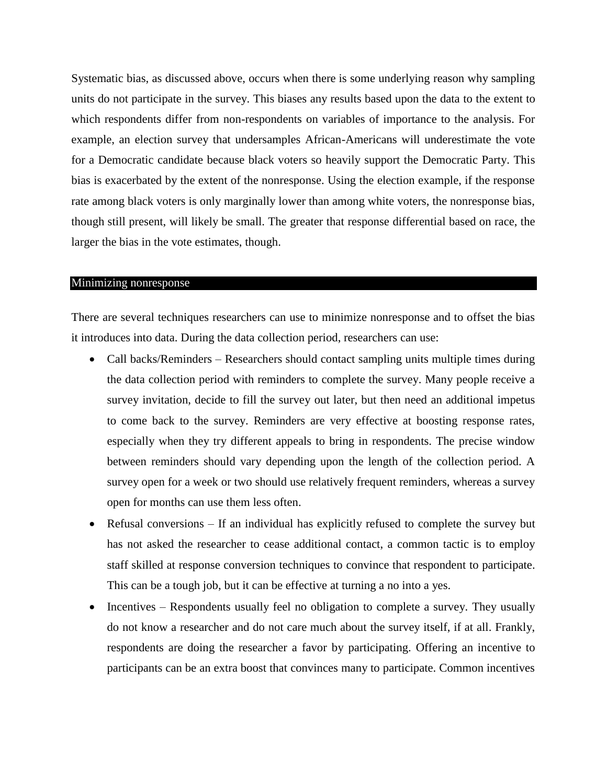Systematic bias, as discussed above, occurs when there is some underlying reason why sampling units do not participate in the survey. This biases any results based upon the data to the extent to which respondents differ from non-respondents on variables of importance to the analysis. For example, an election survey that undersamples African-Americans will underestimate the vote for a Democratic candidate because black voters so heavily support the Democratic Party. This bias is exacerbated by the extent of the nonresponse. Using the election example, if the response rate among black voters is only marginally lower than among white voters, the nonresponse bias, though still present, will likely be small. The greater that response differential based on race, the larger the bias in the vote estimates, though.

## Minimizing nonresponse

There are several techniques researchers can use to minimize nonresponse and to offset the bias it introduces into data. During the data collection period, researchers can use:

- Call backs/Reminders Researchers should contact sampling units multiple times during the data collection period with reminders to complete the survey. Many people receive a survey invitation, decide to fill the survey out later, but then need an additional impetus to come back to the survey. Reminders are very effective at boosting response rates, especially when they try different appeals to bring in respondents. The precise window between reminders should vary depending upon the length of the collection period. A survey open for a week or two should use relatively frequent reminders, whereas a survey open for months can use them less often.
- Refusal conversions If an individual has explicitly refused to complete the survey but has not asked the researcher to cease additional contact, a common tactic is to employ staff skilled at response conversion techniques to convince that respondent to participate. This can be a tough job, but it can be effective at turning a no into a yes.
- $\bullet$  Incentives Respondents usually feel no obligation to complete a survey. They usually do not know a researcher and do not care much about the survey itself, if at all. Frankly, respondents are doing the researcher a favor by participating. Offering an incentive to participants can be an extra boost that convinces many to participate. Common incentives